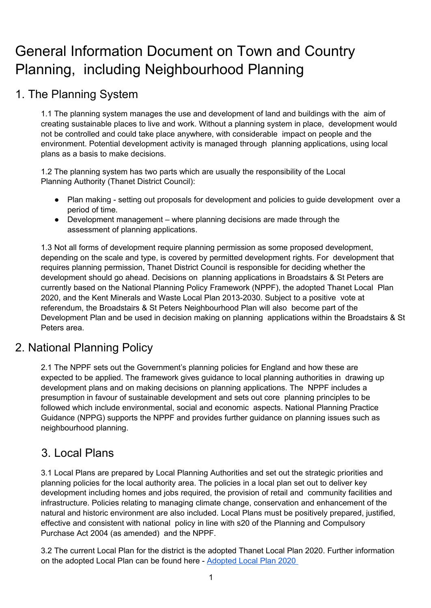# General Information Document on Town and Country Planning, including Neighbourhood Planning

# 1. The Planning System

1.1 The planning system manages the use and development of land and buildings with the aim of creating sustainable places to live and work. Without a planning system in place, development would not be controlled and could take place anywhere, with considerable impact on people and the environment. Potential development activity is managed through planning applications, using local plans as a basis to make decisions.

1.2 The planning system has two parts which are usually the responsibility of the Local Planning Authority (Thanet District Council):

- Plan making setting out proposals for development and policies to guide development over a period of time.
- Development management where planning decisions are made through the assessment of planning applications.

1.3 Not all forms of development require planning permission as some proposed development, depending on the scale and type, is covered by permitted development rights. For development that requires planning permission, Thanet District Council is responsible for deciding whether the development should go ahead. Decisions on planning applications in Broadstairs & St Peters are currently based on the National Planning Policy Framework (NPPF), the adopted Thanet Local Plan 2020, and the Kent Minerals and Waste Local Plan 2013-2030. Subject to a positive vote at referendum, the Broadstairs & St Peters Neighbourhood Plan will also become part of the Development Plan and be used in decision making on planning applications within the Broadstairs & St Peters area.

#### 2. National Planning Policy

2.1 The NPPF sets out the Government's planning policies for England and how these are expected to be applied. The framework gives guidance to local planning authorities in drawing up development plans and on making decisions on planning applications. The NPPF includes a presumption in favour of sustainable development and sets out core planning principles to be followed which include environmental, social and economic aspects. National Planning Practice Guidance (NPPG) supports the NPPF and provides further guidance on planning issues such as neighbourhood planning.

# 3. Local Plans

3.1 Local Plans are prepared by Local Planning Authorities and set out the strategic priorities and planning policies for the local authority area. The policies in a local plan set out to deliver key development including homes and jobs required, the provision of retail and community facilities and infrastructure. Policies relating to managing climate change, conservation and enhancement of the natural and historic environment are also included. Local Plans must be positively prepared, justified, effective and consistent with national policy in line with s20 of the Planning and Compulsory Purchase Act 2004 (as amended) and the NPPF.

3.2 The current Local Plan for the district is the adopted Thanet Local Plan 2020. Further information on the adopted Local Plan can be found here - [Adopted Local Plan 2020](https://www.thanet.gov.uk/info-pages/local-plan-updates/)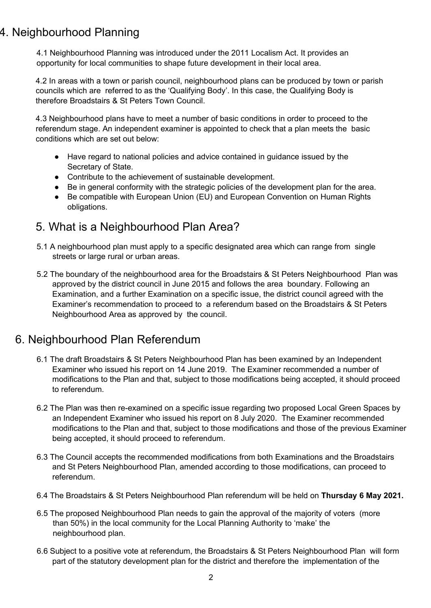# 4. Neighbourhood Planning

4.1 Neighbourhood Planning was introduced under the 2011 Localism Act. It provides an opportunity for local communities to shape future development in their local area.

4.2 In areas with a town or parish council, neighbourhood plans can be produced by town or parish councils which are referred to as the 'Qualifying Body'. In this case, the Qualifying Body is therefore Broadstairs & St Peters Town Council.

4.3 Neighbourhood plans have to meet a number of basic conditions in order to proceed to the referendum stage. An independent examiner is appointed to check that a plan meets the basic conditions which are set out below:

- Have regard to national policies and advice contained in guidance issued by the Secretary of State.
- Contribute to the achievement of sustainable development.
- Be in general conformity with the strategic policies of the development plan for the area.
- Be compatible with European Union (EU) and European Convention on Human Rights obligations.

### 5. What is a Neighbourhood Plan Area?

- 5.1 A neighbourhood plan must apply to a specific designated area which can range from single streets or large rural or urban areas.
- 5.2 The boundary of the neighbourhood area for the Broadstairs & St Peters Neighbourhood Plan was approved by the district council in June 2015 and follows the area boundary. Following an Examination, and a further Examination on a specific issue, the district council agreed with the Examiner's recommendation to proceed to a referendum based on the Broadstairs & St Peters Neighbourhood Area as approved by the council.

## 6. Neighbourhood Plan Referendum

- 6.1 The draft Broadstairs & St Peters Neighbourhood Plan has been examined by an Independent Examiner who issued his report on 14 June 2019. The Examiner recommended a number of modifications to the Plan and that, subject to those modifications being accepted, it should proceed to referendum.
- 6.2 The Plan was then re-examined on a specific issue regarding two proposed Local Green Spaces by an Independent Examiner who issued his report on 8 July 2020. The Examiner recommended modifications to the Plan and that, subject to those modifications and those of the previous Examiner being accepted, it should proceed to referendum.
- 6.3 The Council accepts the recommended modifications from both Examinations and the Broadstairs and St Peters Neighbourhood Plan, amended according to those modifications, can proceed to referendum.
- 6.4 The Broadstairs & St Peters Neighbourhood Plan referendum will be held on **Thursday 6 May 2021.**
- 6.5 The proposed Neighbourhood Plan needs to gain the approval of the majority of voters (more than 50%) in the local community for the Local Planning Authority to 'make' the neighbourhood plan.
- 6.6 Subject to a positive vote at referendum, the Broadstairs & St Peters Neighbourhood Plan will form part of the statutory development plan for the district and therefore the implementation of the